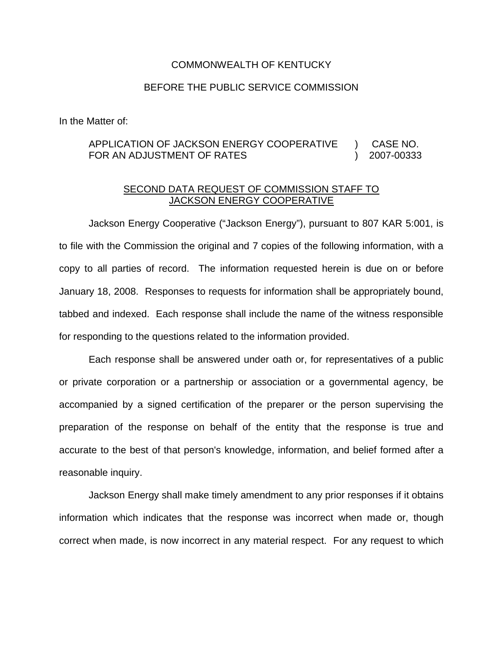## COMMONWEALTH OF KENTUCKY

## BEFORE THE PUBLIC SERVICE COMMISSION

In the Matter of:

## APPLICATION OF JACKSON ENERGY COOPERATIVE ) CASE NO. FOR AN ADJUSTMENT OF RATES (2007-00333

## SECOND DATA REQUEST OF COMMISSION STAFF TO JACKSON ENERGY COOPERATIVE

Jackson Energy Cooperative ("Jackson Energy"), pursuant to 807 KAR 5:001, is to file with the Commission the original and 7 copies of the following information, with a copy to all parties of record. The information requested herein is due on or before January 18, 2008. Responses to requests for information shall be appropriately bound, tabbed and indexed. Each response shall include the name of the witness responsible for responding to the questions related to the information provided.

Each response shall be answered under oath or, for representatives of a public or private corporation or a partnership or association or a governmental agency, be accompanied by a signed certification of the preparer or the person supervising the preparation of the response on behalf of the entity that the response is true and accurate to the best of that person's knowledge, information, and belief formed after a reasonable inquiry.

Jackson Energy shall make timely amendment to any prior responses if it obtains information which indicates that the response was incorrect when made or, though correct when made, is now incorrect in any material respect. For any request to which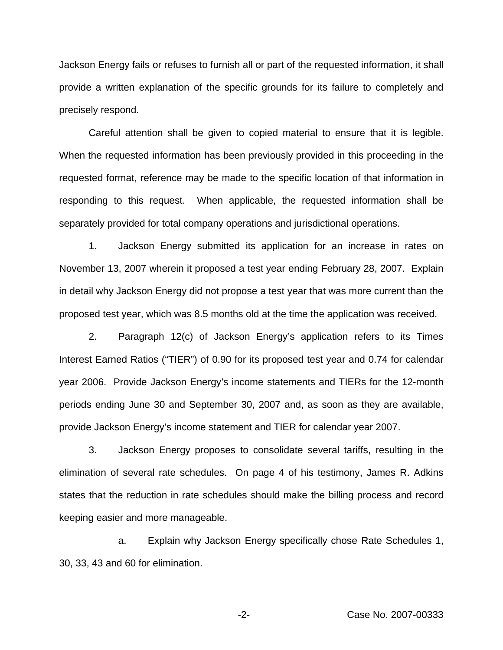Jackson Energy fails or refuses to furnish all or part of the requested information, it shall provide a written explanation of the specific grounds for its failure to completely and precisely respond.

Careful attention shall be given to copied material to ensure that it is legible. When the requested information has been previously provided in this proceeding in the requested format, reference may be made to the specific location of that information in responding to this request. When applicable, the requested information shall be separately provided for total company operations and jurisdictional operations.

1. Jackson Energy submitted its application for an increase in rates on November 13, 2007 wherein it proposed a test year ending February 28, 2007. Explain in detail why Jackson Energy did not propose a test year that was more current than the proposed test year, which was 8.5 months old at the time the application was received.

2. Paragraph 12(c) of Jackson Energy's application refers to its Times Interest Earned Ratios ("TIER") of 0.90 for its proposed test year and 0.74 for calendar year 2006. Provide Jackson Energy's income statements and TIERs for the 12-month periods ending June 30 and September 30, 2007 and, as soon as they are available, provide Jackson Energy's income statement and TIER for calendar year 2007.

3. Jackson Energy proposes to consolidate several tariffs, resulting in the elimination of several rate schedules. On page 4 of his testimony, James R. Adkins states that the reduction in rate schedules should make the billing process and record keeping easier and more manageable.

a. Explain why Jackson Energy specifically chose Rate Schedules 1, 30, 33, 43 and 60 for elimination.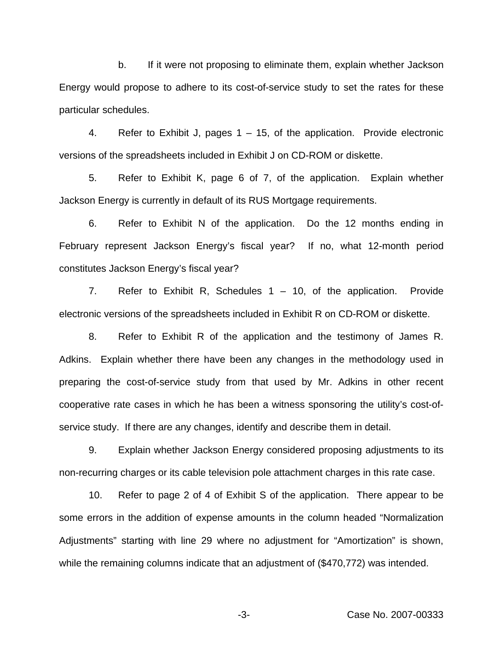b. If it were not proposing to eliminate them, explain whether Jackson Energy would propose to adhere to its cost-of-service study to set the rates for these particular schedules.

4. Refer to Exhibit J, pages 1 – 15, of the application. Provide electronic versions of the spreadsheets included in Exhibit J on CD-ROM or diskette.

5. Refer to Exhibit K, page 6 of 7, of the application. Explain whether Jackson Energy is currently in default of its RUS Mortgage requirements.

6. Refer to Exhibit N of the application. Do the 12 months ending in February represent Jackson Energy's fiscal year? If no, what 12-month period constitutes Jackson Energy's fiscal year?

7. Refer to Exhibit R, Schedules 1 – 10, of the application. Provide electronic versions of the spreadsheets included in Exhibit R on CD-ROM or diskette.

8. Refer to Exhibit R of the application and the testimony of James R. Adkins. Explain whether there have been any changes in the methodology used in preparing the cost-of-service study from that used by Mr. Adkins in other recent cooperative rate cases in which he has been a witness sponsoring the utility's cost-ofservice study. If there are any changes, identify and describe them in detail.

9. Explain whether Jackson Energy considered proposing adjustments to its non-recurring charges or its cable television pole attachment charges in this rate case.

10. Refer to page 2 of 4 of Exhibit S of the application. There appear to be some errors in the addition of expense amounts in the column headed "Normalization Adjustments" starting with line 29 where no adjustment for "Amortization" is shown, while the remaining columns indicate that an adjustment of (\$470,772) was intended.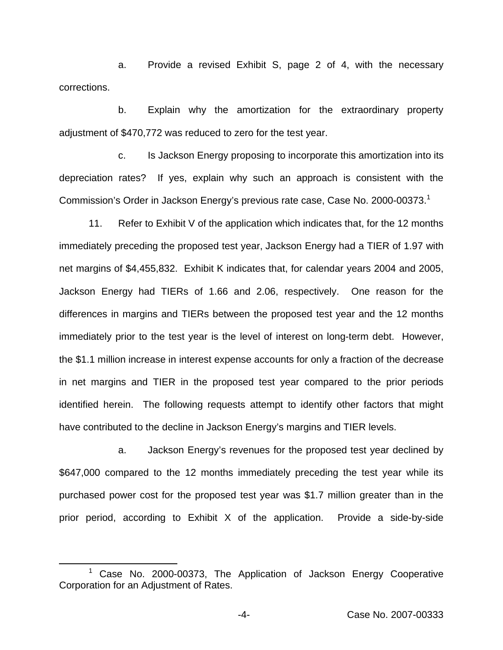a. Provide a revised Exhibit S, page 2 of 4, with the necessary corrections.

b. Explain why the amortization for the extraordinary property adjustment of \$470,772 was reduced to zero for the test year.

c. Is Jackson Energy proposing to incorporate this amortization into its depreciation rates? If yes, explain why such an approach is consistent with the Commission's Order in Jackson Energy's previous rate case, Case No. 2000-00373.<sup>1</sup>

11. Refer to Exhibit V of the application which indicates that, for the 12 months immediately preceding the proposed test year, Jackson Energy had a TIER of 1.97 with net margins of \$4,455,832. Exhibit K indicates that, for calendar years 2004 and 2005, Jackson Energy had TIERs of 1.66 and 2.06, respectively. One reason for the differences in margins and TIERs between the proposed test year and the 12 months immediately prior to the test year is the level of interest on long-term debt. However, the \$1.1 million increase in interest expense accounts for only a fraction of the decrease in net margins and TIER in the proposed test year compared to the prior periods identified herein. The following requests attempt to identify other factors that might have contributed to the decline in Jackson Energy's margins and TIER levels.

a. Jackson Energy's revenues for the proposed test year declined by \$647,000 compared to the 12 months immediately preceding the test year while its purchased power cost for the proposed test year was \$1.7 million greater than in the prior period, according to Exhibit X of the application. Provide a side-by-side

 $1$  Case No. 2000-00373, The Application of Jackson Energy Cooperative Corporation for an Adjustment of Rates.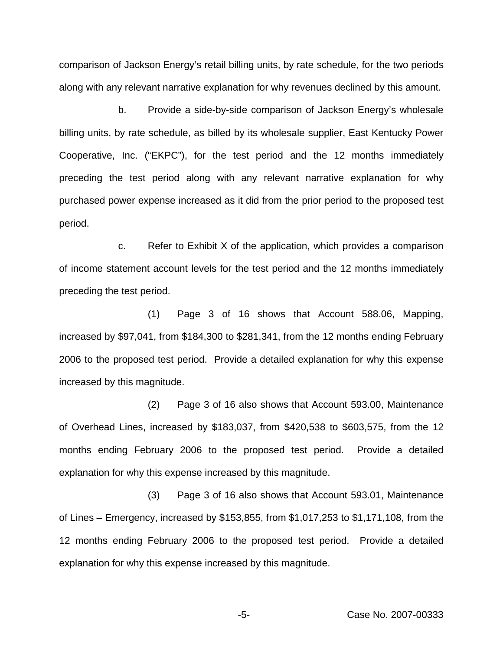comparison of Jackson Energy's retail billing units, by rate schedule, for the two periods along with any relevant narrative explanation for why revenues declined by this amount.

b. Provide a side-by-side comparison of Jackson Energy's wholesale billing units, by rate schedule, as billed by its wholesale supplier, East Kentucky Power Cooperative, Inc. ("EKPC"), for the test period and the 12 months immediately preceding the test period along with any relevant narrative explanation for why purchased power expense increased as it did from the prior period to the proposed test period.

c. Refer to Exhibit X of the application, which provides a comparison of income statement account levels for the test period and the 12 months immediately preceding the test period.

(1) Page 3 of 16 shows that Account 588.06, Mapping, increased by \$97,041, from \$184,300 to \$281,341, from the 12 months ending February 2006 to the proposed test period. Provide a detailed explanation for why this expense increased by this magnitude.

(2) Page 3 of 16 also shows that Account 593.00, Maintenance of Overhead Lines, increased by \$183,037, from \$420,538 to \$603,575, from the 12 months ending February 2006 to the proposed test period. Provide a detailed explanation for why this expense increased by this magnitude.

(3) Page 3 of 16 also shows that Account 593.01, Maintenance of Lines – Emergency, increased by \$153,855, from \$1,017,253 to \$1,171,108, from the 12 months ending February 2006 to the proposed test period. Provide a detailed explanation for why this expense increased by this magnitude.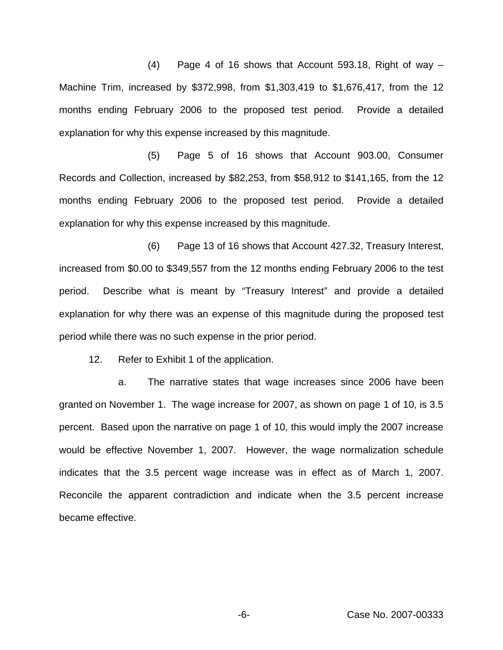(4) Page 4 of 16 shows that Account 593.18, Right of way – Machine Trim, increased by \$372,998, from \$1,303,419 to \$1,676,417, from the 12 months ending February 2006 to the proposed test period. Provide a detailed explanation for why this expense increased by this magnitude.

(5) Page 5 of 16 shows that Account 903.00, Consumer Records and Collection, increased by \$82,253, from \$58,912 to \$141,165, from the 12 months ending February 2006 to the proposed test period. Provide a detailed explanation for why this expense increased by this magnitude.

(6) Page 13 of 16 shows that Account 427.32, Treasury Interest, increased from \$0.00 to \$349,557 from the 12 months ending February 2006 to the test period. Describe what is meant by "Treasury Interest" and provide a detailed explanation for why there was an expense of this magnitude during the proposed test period while there was no such expense in the prior period.

12. Refer to Exhibit 1 of the application.

a. The narrative states that wage increases since 2006 have been granted on November 1. The wage increase for 2007, as shown on page 1 of 10, is 3.5 percent. Based upon the narrative on page 1 of 10, this would imply the 2007 increase would be effective November 1, 2007. However, the wage normalization schedule indicates that the 3.5 percent wage increase was in effect as of March 1, 2007. Reconcile the apparent contradiction and indicate when the 3.5 percent increase became effective.

-6- Case No. 2007-00333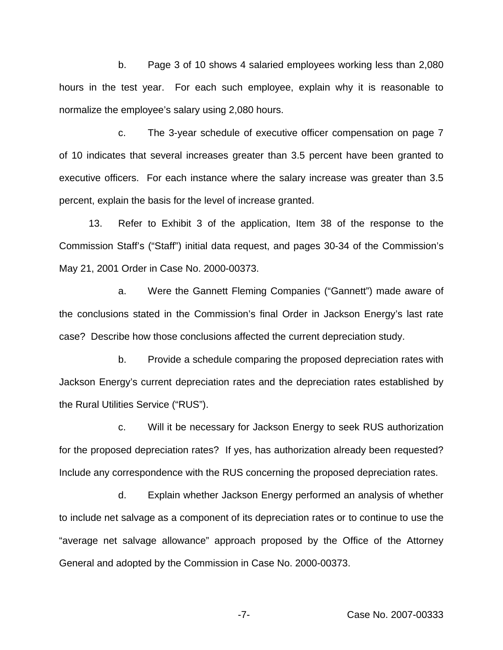b. Page 3 of 10 shows 4 salaried employees working less than 2,080 hours in the test year. For each such employee, explain why it is reasonable to normalize the employee's salary using 2,080 hours.

c. The 3-year schedule of executive officer compensation on page 7 of 10 indicates that several increases greater than 3.5 percent have been granted to executive officers. For each instance where the salary increase was greater than 3.5 percent, explain the basis for the level of increase granted.

13. Refer to Exhibit 3 of the application, Item 38 of the response to the Commission Staff's ("Staff") initial data request, and pages 30-34 of the Commission's May 21, 2001 Order in Case No. 2000-00373.

a. Were the Gannett Fleming Companies ("Gannett") made aware of the conclusions stated in the Commission's final Order in Jackson Energy's last rate case? Describe how those conclusions affected the current depreciation study.

b. Provide a schedule comparing the proposed depreciation rates with Jackson Energy's current depreciation rates and the depreciation rates established by the Rural Utilities Service ("RUS").

c. Will it be necessary for Jackson Energy to seek RUS authorization for the proposed depreciation rates? If yes, has authorization already been requested? Include any correspondence with the RUS concerning the proposed depreciation rates.

d. Explain whether Jackson Energy performed an analysis of whether to include net salvage as a component of its depreciation rates or to continue to use the "average net salvage allowance" approach proposed by the Office of the Attorney General and adopted by the Commission in Case No. 2000-00373.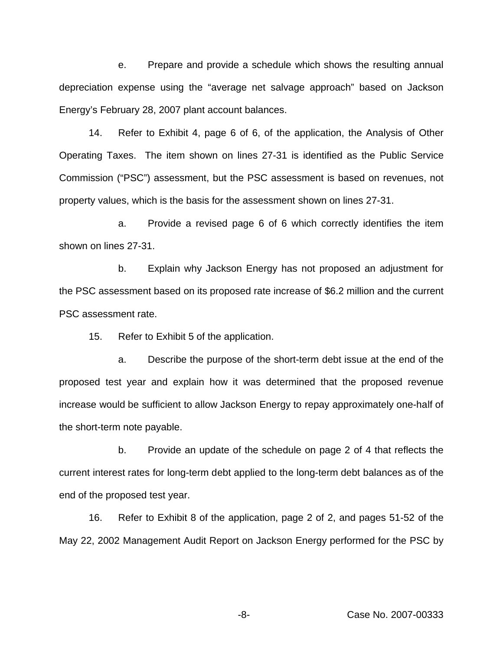e. Prepare and provide a schedule which shows the resulting annual depreciation expense using the "average net salvage approach" based on Jackson Energy's February 28, 2007 plant account balances.

14. Refer to Exhibit 4, page 6 of 6, of the application, the Analysis of Other Operating Taxes. The item shown on lines 27-31 is identified as the Public Service Commission ("PSC") assessment, but the PSC assessment is based on revenues, not property values, which is the basis for the assessment shown on lines 27-31.

a. Provide a revised page 6 of 6 which correctly identifies the item shown on lines 27-31.

b. Explain why Jackson Energy has not proposed an adjustment for the PSC assessment based on its proposed rate increase of \$6.2 million and the current PSC assessment rate.

15. Refer to Exhibit 5 of the application.

a. Describe the purpose of the short-term debt issue at the end of the proposed test year and explain how it was determined that the proposed revenue increase would be sufficient to allow Jackson Energy to repay approximately one-half of the short-term note payable.

b. Provide an update of the schedule on page 2 of 4 that reflects the current interest rates for long-term debt applied to the long-term debt balances as of the end of the proposed test year.

16. Refer to Exhibit 8 of the application, page 2 of 2, and pages 51-52 of the May 22, 2002 Management Audit Report on Jackson Energy performed for the PSC by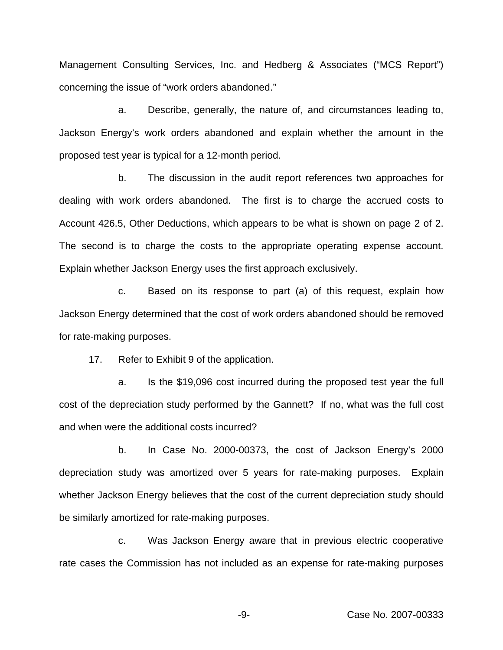Management Consulting Services, Inc. and Hedberg & Associates ("MCS Report") concerning the issue of "work orders abandoned."

a. Describe, generally, the nature of, and circumstances leading to, Jackson Energy's work orders abandoned and explain whether the amount in the proposed test year is typical for a 12-month period.

b. The discussion in the audit report references two approaches for dealing with work orders abandoned. The first is to charge the accrued costs to Account 426.5, Other Deductions, which appears to be what is shown on page 2 of 2. The second is to charge the costs to the appropriate operating expense account. Explain whether Jackson Energy uses the first approach exclusively.

c. Based on its response to part (a) of this request, explain how Jackson Energy determined that the cost of work orders abandoned should be removed for rate-making purposes.

17. Refer to Exhibit 9 of the application.

a. Is the \$19,096 cost incurred during the proposed test year the full cost of the depreciation study performed by the Gannett? If no, what was the full cost and when were the additional costs incurred?

b. In Case No. 2000-00373, the cost of Jackson Energy's 2000 depreciation study was amortized over 5 years for rate-making purposes. Explain whether Jackson Energy believes that the cost of the current depreciation study should be similarly amortized for rate-making purposes.

c. Was Jackson Energy aware that in previous electric cooperative rate cases the Commission has not included as an expense for rate-making purposes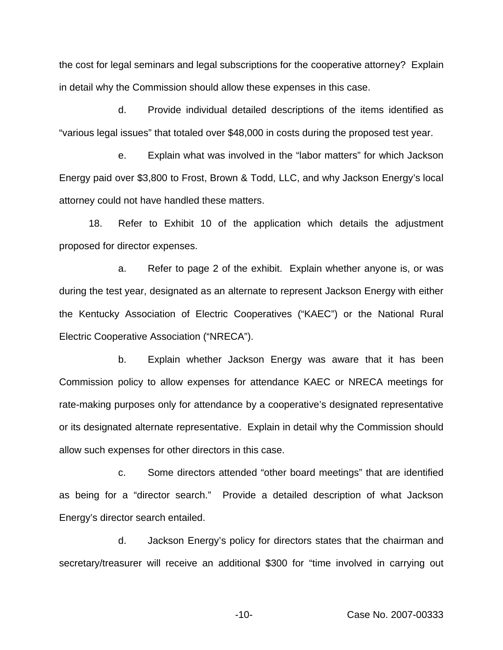the cost for legal seminars and legal subscriptions for the cooperative attorney? Explain in detail why the Commission should allow these expenses in this case.

d. Provide individual detailed descriptions of the items identified as "various legal issues" that totaled over \$48,000 in costs during the proposed test year.

e. Explain what was involved in the "labor matters" for which Jackson Energy paid over \$3,800 to Frost, Brown & Todd, LLC, and why Jackson Energy's local attorney could not have handled these matters.

18. Refer to Exhibit 10 of the application which details the adjustment proposed for director expenses.

a. Refer to page 2 of the exhibit. Explain whether anyone is, or was during the test year, designated as an alternate to represent Jackson Energy with either the Kentucky Association of Electric Cooperatives ("KAEC") or the National Rural Electric Cooperative Association ("NRECA").

b. Explain whether Jackson Energy was aware that it has been Commission policy to allow expenses for attendance KAEC or NRECA meetings for rate-making purposes only for attendance by a cooperative's designated representative or its designated alternate representative. Explain in detail why the Commission should allow such expenses for other directors in this case.

c. Some directors attended "other board meetings" that are identified as being for a "director search." Provide a detailed description of what Jackson Energy's director search entailed.

d. Jackson Energy's policy for directors states that the chairman and secretary/treasurer will receive an additional \$300 for "time involved in carrying out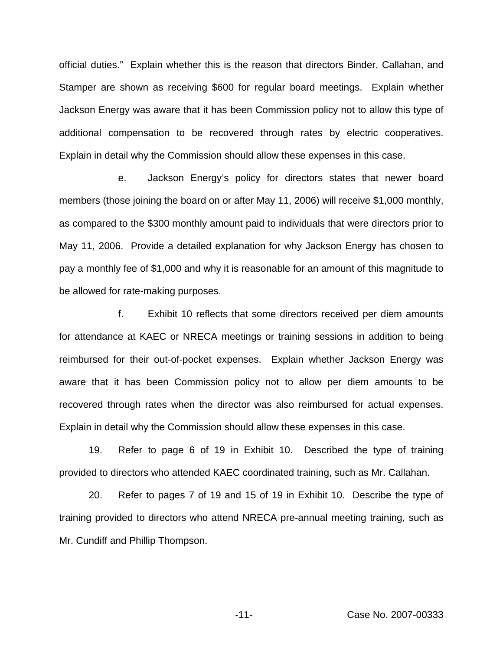official duties." Explain whether this is the reason that directors Binder, Callahan, and Stamper are shown as receiving \$600 for regular board meetings. Explain whether Jackson Energy was aware that it has been Commission policy not to allow this type of additional compensation to be recovered through rates by electric cooperatives. Explain in detail why the Commission should allow these expenses in this case.

e. Jackson Energy's policy for directors states that newer board members (those joining the board on or after May 11, 2006) will receive \$1,000 monthly, as compared to the \$300 monthly amount paid to individuals that were directors prior to May 11, 2006. Provide a detailed explanation for why Jackson Energy has chosen to pay a monthly fee of \$1,000 and why it is reasonable for an amount of this magnitude to be allowed for rate-making purposes.

f. Exhibit 10 reflects that some directors received per diem amounts for attendance at KAEC or NRECA meetings or training sessions in addition to being reimbursed for their out-of-pocket expenses. Explain whether Jackson Energy was aware that it has been Commission policy not to allow per diem amounts to be recovered through rates when the director was also reimbursed for actual expenses. Explain in detail why the Commission should allow these expenses in this case.

19. Refer to page 6 of 19 in Exhibit 10. Described the type of training provided to directors who attended KAEC coordinated training, such as Mr. Callahan.

20. Refer to pages 7 of 19 and 15 of 19 in Exhibit 10. Describe the type of training provided to directors who attend NRECA pre-annual meeting training, such as Mr. Cundiff and Phillip Thompson.

-11- Case No. 2007-00333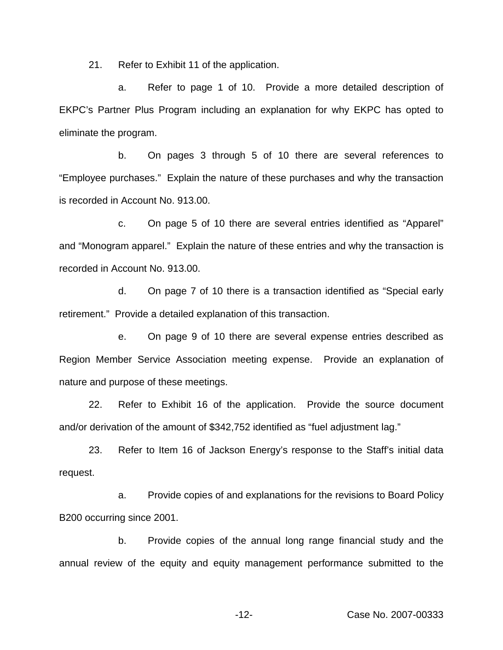21. Refer to Exhibit 11 of the application.

a. Refer to page 1 of 10. Provide a more detailed description of EKPC's Partner Plus Program including an explanation for why EKPC has opted to eliminate the program.

b. On pages 3 through 5 of 10 there are several references to "Employee purchases." Explain the nature of these purchases and why the transaction is recorded in Account No. 913.00.

c. On page 5 of 10 there are several entries identified as "Apparel" and "Monogram apparel." Explain the nature of these entries and why the transaction is recorded in Account No. 913.00.

d. On page 7 of 10 there is a transaction identified as "Special early retirement." Provide a detailed explanation of this transaction.

e. On page 9 of 10 there are several expense entries described as Region Member Service Association meeting expense. Provide an explanation of nature and purpose of these meetings.

22. Refer to Exhibit 16 of the application. Provide the source document and/or derivation of the amount of \$342,752 identified as "fuel adjustment lag."

23. Refer to Item 16 of Jackson Energy's response to the Staff's initial data request.

a. Provide copies of and explanations for the revisions to Board Policy B200 occurring since 2001.

b. Provide copies of the annual long range financial study and the annual review of the equity and equity management performance submitted to the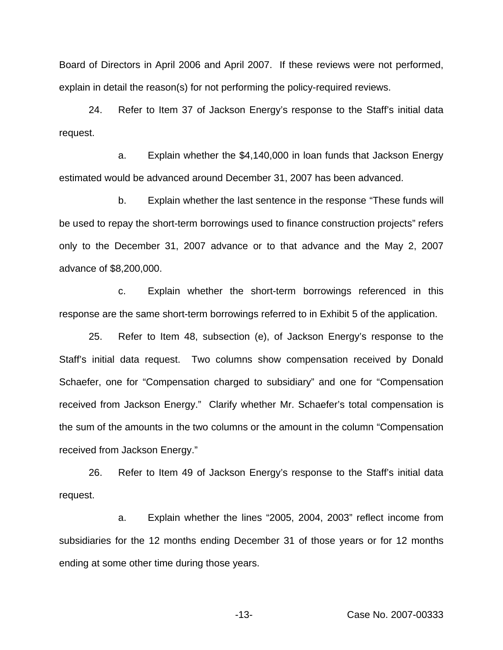Board of Directors in April 2006 and April 2007. If these reviews were not performed, explain in detail the reason(s) for not performing the policy-required reviews.

24. Refer to Item 37 of Jackson Energy's response to the Staff's initial data request.

a. Explain whether the \$4,140,000 in loan funds that Jackson Energy estimated would be advanced around December 31, 2007 has been advanced.

b. Explain whether the last sentence in the response "These funds will be used to repay the short-term borrowings used to finance construction projects" refers only to the December 31, 2007 advance or to that advance and the May 2, 2007 advance of \$8,200,000.

c. Explain whether the short-term borrowings referenced in this response are the same short-term borrowings referred to in Exhibit 5 of the application.

25. Refer to Item 48, subsection (e), of Jackson Energy's response to the Staff's initial data request. Two columns show compensation received by Donald Schaefer, one for "Compensation charged to subsidiary" and one for "Compensation received from Jackson Energy." Clarify whether Mr. Schaefer's total compensation is the sum of the amounts in the two columns or the amount in the column "Compensation received from Jackson Energy."

26. Refer to Item 49 of Jackson Energy's response to the Staff's initial data request.

a. Explain whether the lines "2005, 2004, 2003" reflect income from subsidiaries for the 12 months ending December 31 of those years or for 12 months ending at some other time during those years.

-13- Case No. 2007-00333